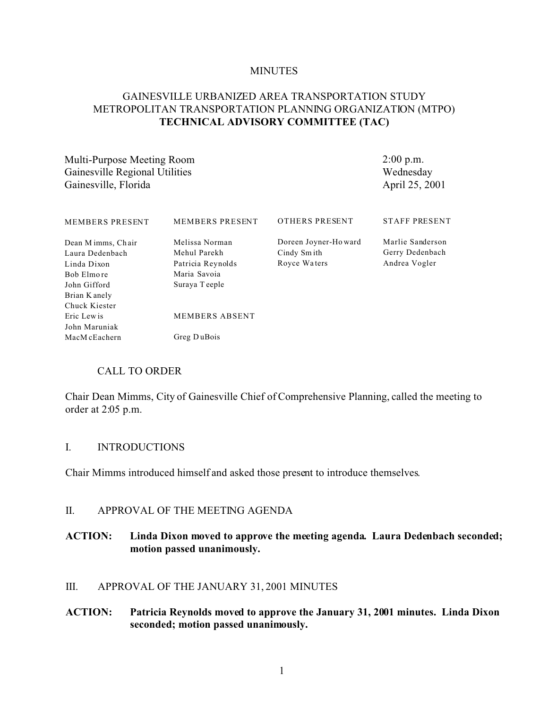#### **MINUTES**

## GAINESVILLE URBANIZED AREA TRANSPORTATION STUDY METROPOLITAN TRANSPORTATION PLANNING ORGANIZATION (MTPO) **TECHNICAL ADVISORY COMMITTEE (TAC)**

Multi-Purpose Meeting Room Gainesville Regional Utilities Gainesville, Florida

2:00 p.m. Wednesday April 25, 2001

| <b>MEMBERS PRESENT</b>                | <b>MEMBERS PRESENT</b>         | <b>OTHERS PRESENT</b>                | <b>STAFF PRESENT</b>                |
|---------------------------------------|--------------------------------|--------------------------------------|-------------------------------------|
| Dean M imms, Chair<br>Laura Dedenbach | Melissa Norman<br>Mehul Parekh | Doreen Joyner-Howard<br>Cindy Sm ith | Marlie Sanderson<br>Gerry Dedenbach |
| Linda Dixon                           | Patricia Reynolds              | Royce Waters                         | Andrea Vogler                       |
| Bob Elmore                            | Maria Savoia                   |                                      |                                     |
| John Gifford                          | Suraya Teeple                  |                                      |                                     |
| Brian K anely                         |                                |                                      |                                     |
| Chuck Kiester                         |                                |                                      |                                     |
| Eric Lewis                            | <b>MEMBERS ABSENT</b>          |                                      |                                     |
| John Maruniak                         |                                |                                      |                                     |
| MacM cEachern                         | Greg DuBois                    |                                      |                                     |

#### CALL TO ORDER

Chair Dean Mimms, City of Gainesville Chief of Comprehensive Planning, called the meeting to order at 2:05 p.m.

#### I. INTRODUCTIONS

Chair Mimms introduced himself and asked those present to introduce themselves.

#### II. APPROVAL OF THE MEETING AGENDA

#### **ACTION: Linda Dixon moved to approve the meeting agenda. Laura Dedenbach seconded; motion passed unanimously.**

### III. APPROVAL OF THE JANUARY 31, 2001 MINUTES

#### **ACTION: Patricia Reynolds moved to approve the January 31, 2001 minutes. Linda Dixon seconded; motion passed unanimously.**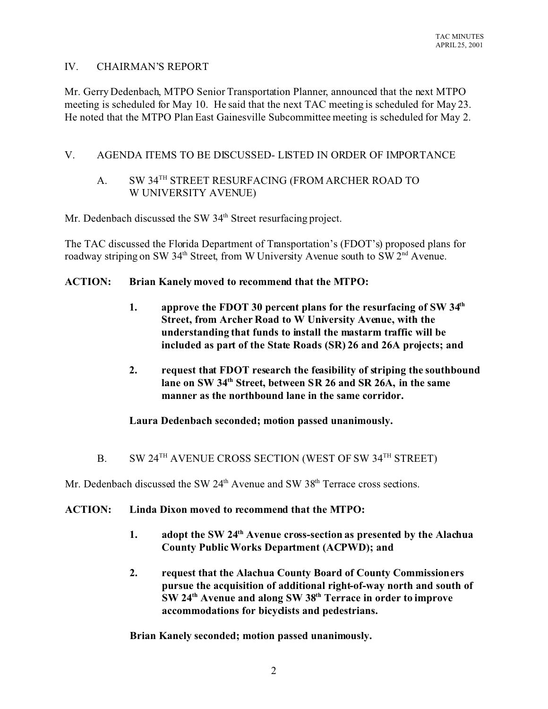## IV. CHAIRMAN'S REPORT

Mr. Gerry Dedenbach, MTPO Senior Transportation Planner, announced that the next MTPO meeting is scheduled for May 10. He said that the next TAC meeting is scheduled for May 23. He noted that the MTPO Plan East Gainesville Subcommittee meeting is scheduled for May 2.

### V. AGENDA ITEMS TO BE DISCUSSED- LISTED IN ORDER OF IMPORTANCE

# A. SW 34<sup>TH</sup> STREET RESURFACING (FROM ARCHER ROAD TO W UNIVERSITY AVENUE)

Mr. Dedenbach discussed the SW 34<sup>th</sup> Street resurfacing project.

The TAC discussed the Florida Department of Transportation's (FDOT's) proposed plans for roadway striping on SW 34<sup>th</sup> Street, from W University Avenue south to SW 2<sup>nd</sup> Avenue.

#### **ACTION: Brian Kanely moved to recommend that the MTPO:**

- **1. approve the FDOT 30 percent plans for the resurfacing of SW 34th Street, from Archer Road to W University Avenue, with the understanding that funds to install the mastarm traffic will be included as part of the State Roads (SR) 26 and 26A projects; and**
- **2. request that FDOT research the feasibility of striping the southbound lane on SW 34th Street, between SR 26 and SR 26A, in the same manner as the northbound lane in the same corridor.**

## **Laura Dedenbach seconded; motion passed unanimously.**

B. SW 24<sup>TH</sup> AVENUE CROSS SECTION (WEST OF SW 34<sup>TH</sup> STREET)

Mr. Dedenbach discussed the SW  $24<sup>th</sup>$  Avenue and SW  $38<sup>th</sup>$  Terrace cross sections.

#### **ACTION: Linda Dixon moved to recommend that the MTPO:**

- **1. adopt the SW 24th Avenue cross-section as presented by the Alachua County Public Works Department (ACPWD); and**
- **2. request that the Alachua County Board of County Commissioners pursue the acquisition of additional right-of-way north and south of SW 24th Avenue and along SW 38th Terrace in order to improve accommodations for bicyclists and pedestrians.**

**Brian Kanely seconded; motion passed unanimously.**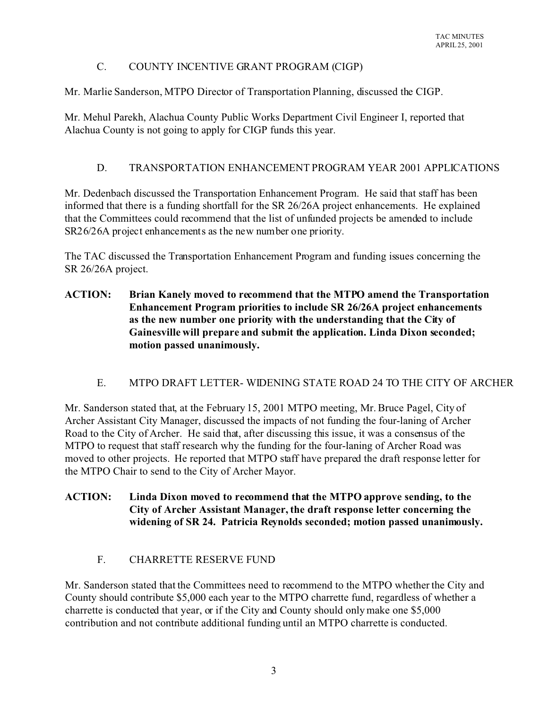# C. COUNTY INCENTIVE GRANT PROGRAM (CIGP)

Mr. Marlie Sanderson, MTPO Director of Transportation Planning, discussed the CIGP.

Mr. Mehul Parekh, Alachua County Public Works Department Civil Engineer I, reported that Alachua County is not going to apply for CIGP funds this year.

# D. TRANSPORTATION ENHANCEMENT PROGRAM YEAR 2001 APPLICATIONS

Mr. Dedenbach discussed the Transportation Enhancement Program. He said that staff has been informed that there is a funding shortfall for the SR 26/26A project enhancements. He explained that the Committees could recommend that the list of unfunded projects be amended to include SR26/26A project enhancements as the new number one priority.

The TAC discussed the Transportation Enhancement Program and funding issues concerning the SR 26/26A project.

**ACTION: Brian Kanely moved to recommend that the MTPO amend the Transportation Enhancement Program priorities to include SR 26/26A project enhancements as the new number one priority with the understanding that the City of Gainesville will prepare and submit the application. Linda Dixon seconded; motion passed unanimously.**

## E. MTPO DRAFT LETTER- WIDENING STATE ROAD 24 TO THE CITY OF ARCHER

Mr. Sanderson stated that, at the February 15, 2001 MTPO meeting, Mr. Bruce Pagel, City of Archer Assistant City Manager, discussed the impacts of not funding the four-laning of Archer Road to the City of Archer. He said that, after discussing this issue, it was a consensus of the MTPO to request that staff research why the funding for the four-laning of Archer Road was moved to other projects. He reported that MTPO staff have prepared the draft response letter for the MTPO Chair to send to the City of Archer Mayor.

## **ACTION: Linda Dixon moved to recommend that the MTPO approve sending, to the City of Archer Assistant Manager, the draft response letter concerning the widening of SR 24. Patricia Reynolds seconded; motion passed unanimously.**

# F. CHARRETTE RESERVE FUND

Mr. Sanderson stated that the Committees need to recommend to the MTPO whether the City and County should contribute \$5,000 each year to the MTPO charrette fund, regardless of whether a charrette is conducted that year, or if the City and County should only make one \$5,000 contribution and not contribute additional funding until an MTPO charrette is conducted.